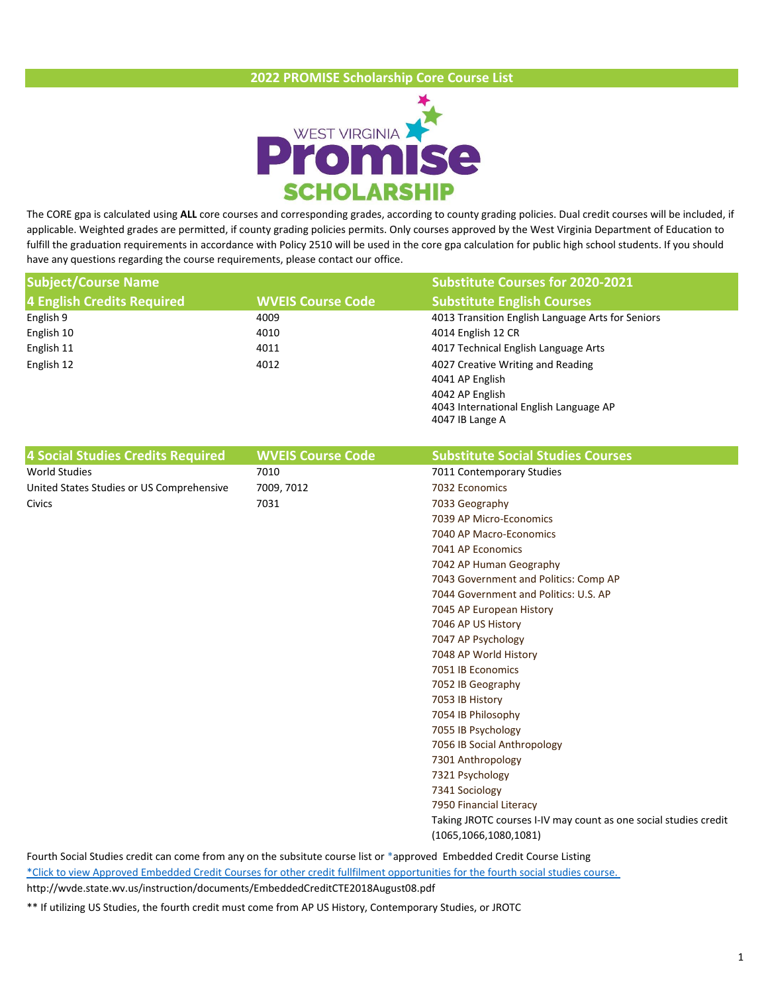## **2022 PROMISE Scholarship Core Course List**



The CORE gpa is calculated using **ALL** core courses and corresponding grades, according to county grading policies. Dual credit courses will be included, if applicable. Weighted grades are permitted, if county grading policies permits. Only courses approved by the West Virginia Department of Education to fulfill the graduation requirements in accordance with Policy 2510 will be used in the core gpa calculation for public high school students. If you should have any questions regarding the course requirements, please contact our office.

| <b>Subject/Course Name</b>                |                          | <b>Substitute Courses for 2020-2021</b>                          |
|-------------------------------------------|--------------------------|------------------------------------------------------------------|
| 4 English Credits Required                | <b>WVEIS Course Code</b> | <b>Substitute English Courses</b>                                |
| English 9                                 | 4009                     | 4013 Transition English Language Arts for Seniors                |
| English 10                                | 4010                     | 4014 English 12 CR                                               |
| English 11                                | 4011                     | 4017 Technical English Language Arts                             |
| English 12                                | 4012                     | 4027 Creative Writing and Reading                                |
|                                           |                          | 4041 AP English                                                  |
|                                           |                          | 4042 AP English                                                  |
|                                           |                          | 4043 International English Language AP                           |
|                                           |                          | 4047 IB Lange A                                                  |
| 4 Social Studies Credits Required         | <b>WVEIS Course Code</b> | <b>Substitute Social Studies Courses</b>                         |
| <b>World Studies</b>                      | 7010                     | 7011 Contemporary Studies                                        |
| United States Studies or US Comprehensive | 7009, 7012               | 7032 Economics                                                   |
| Civics                                    | 7031                     | 7033 Geography                                                   |
|                                           |                          | 7039 AP Micro-Economics                                          |
|                                           |                          | 7040 AP Macro-Economics                                          |
|                                           |                          | 7041 AP Economics                                                |
|                                           |                          | 7042 AP Human Geography                                          |
|                                           |                          | 7043 Government and Politics: Comp AP                            |
|                                           |                          | 7044 Government and Politics: U.S. AP                            |
|                                           |                          | 7045 AP European History                                         |
|                                           |                          | 7046 AP US History                                               |
|                                           |                          | 7047 AP Psychology                                               |
|                                           |                          | 7048 AP World History                                            |
|                                           |                          | 7051 IB Economics                                                |
|                                           |                          | 7052 IB Geography                                                |
|                                           |                          | 7053 IB History                                                  |
|                                           |                          | 7054 IB Philosophy                                               |
|                                           |                          | 7055 IB Psychology                                               |
|                                           |                          | 7056 IB Social Anthropology                                      |
|                                           |                          | 7301 Anthropology                                                |
|                                           |                          | 7321 Psychology                                                  |
|                                           |                          | 7341 Sociology                                                   |
|                                           |                          | 7950 Financial Literacy                                          |
|                                           |                          | Taking JROTC courses I-IV may count as one social studies credit |
|                                           |                          | (1065, 1066, 1080, 1081)                                         |

Fourth Social Studies credit can come from any on the subsitute course list or \*approved Embedded Credit Course Listing http://wvde.state.wv.us/instruction/documents/EmbeddedCreditCTE2018August08.pdf [\\*Click to view Approved Embedded Credit Course](http://wvde.state.wv.us/instruction/documents/EmbeddedCreditCTE2018August08.pdf)s for other credit fullfilment opportunities for the fourth social studies course.

\*\* If utilizing US Studies, the fourth credit must come from AP US History, Contemporary Studies, or JROTC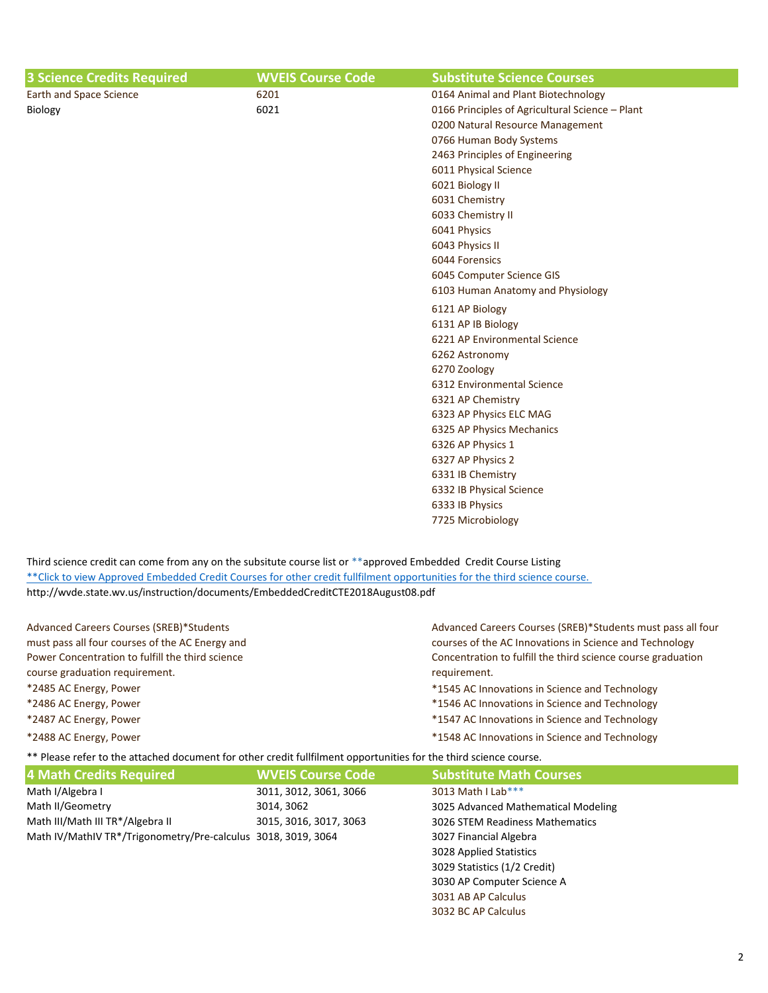| <b>3 Science Credits Required</b> | <b>WVEIS Course Code</b> | <b>Substitute Science Courses</b>               |
|-----------------------------------|--------------------------|-------------------------------------------------|
| Earth and Space Science           | 6201                     | 0164 Animal and Plant Biotechnology             |
| Biology                           | 6021                     | 0166 Principles of Agricultural Science - Plant |
|                                   |                          | 0200 Natural Resource Management                |
|                                   |                          | 0766 Human Body Systems                         |
|                                   |                          | 2463 Principles of Engineering                  |
|                                   |                          | 6011 Physical Science                           |
|                                   |                          | 6021 Biology II                                 |
|                                   |                          | 6031 Chemistry                                  |
|                                   |                          | 6033 Chemistry II                               |
|                                   |                          | 6041 Physics                                    |
|                                   |                          | 6043 Physics II                                 |
|                                   |                          | 6044 Forensics                                  |
|                                   |                          | 6045 Computer Science GIS                       |
|                                   |                          | 6103 Human Anatomy and Physiology               |
|                                   |                          | 6121 AP Biology                                 |
|                                   |                          | 6131 AP IB Biology                              |
|                                   |                          | 6221 AP Environmental Science                   |
|                                   |                          | 6262 Astronomy                                  |
|                                   |                          | 6270 Zoology                                    |
|                                   |                          | 6312 Environmental Science                      |
|                                   |                          | 6321 AP Chemistry                               |
|                                   |                          | 6323 AP Physics ELC MAG                         |
|                                   |                          | 6325 AP Physics Mechanics                       |
|                                   |                          | 6326 AP Physics 1                               |
|                                   |                          | 6327 AP Physics 2                               |
|                                   |                          | 6331 IB Chemistry                               |
|                                   |                          | 6332 IB Physical Science                        |
|                                   |                          | 6333 IB Physics                                 |
|                                   |                          | 7725 Microbiology                               |

Third science credit can come from any on the subsitute course list or \*\*approved Embedded Credit Course Listing http://wvde.state.wv.us/instruction/documents/EmbeddedCreditCTE2018August08.pdf [\\*\\*Click to view Approved Embedded Credit Cours](http://wvde.state.wv.us/instruction/documents/EmbeddedCreditCTE2018August08.pdf)es for other credit fullfilment opportunities for the third science course.

| Advanced Careers Courses (SREB)*Students         | Advanced Careers Courses (SREB)*Students must pass all four  |
|--------------------------------------------------|--------------------------------------------------------------|
| must pass all four courses of the AC Energy and  | courses of the AC Innovations in Science and Technology      |
| Power Concentration to fulfill the third science | Concentration to fulfill the third science course graduation |
| course graduation requirement.                   | requirement.                                                 |
| *2485 AC Energy, Power                           | *1545 AC Innovations in Science and Technology               |
| *2486 AC Energy, Power                           | *1546 AC Innovations in Science and Technology               |
| *2487 AC Energy, Power                           | *1547 AC Innovations in Science and Technology               |
| *2488 AC Energy, Power                           | *1548 AC Innovations in Science and Technology               |

\*\* Please refer to the attached document for other credit fullfilment opportunities for the third science course.

| 4 Math Credits Required                                       | <b>WVEIS Course Code</b> | <b>Substitute Math Courses</b>      |
|---------------------------------------------------------------|--------------------------|-------------------------------------|
| Math I/Algebra I                                              | 3011, 3012, 3061, 3066   | 3013 Math I Lab***                  |
| Math II/Geometry                                              | 3014, 3062               | 3025 Advanced Mathematical Modeling |
| Math III/Math III TR*/Algebra II                              | 3015, 3016, 3017, 3063   | 3026 STEM Readiness Mathematics     |
| Math IV/MathIV TR*/Trigonometry/Pre-calculus 3018, 3019, 3064 |                          | 3027 Financial Algebra              |
|                                                               |                          | 3028 Applied Statistics             |
|                                                               |                          | 3029 Statistics (1/2 Credit)        |
|                                                               |                          | 3030 AP Computer Science A          |
|                                                               |                          | 3031 AB AP Calculus                 |
|                                                               |                          | 3032 BC AP Calculus                 |